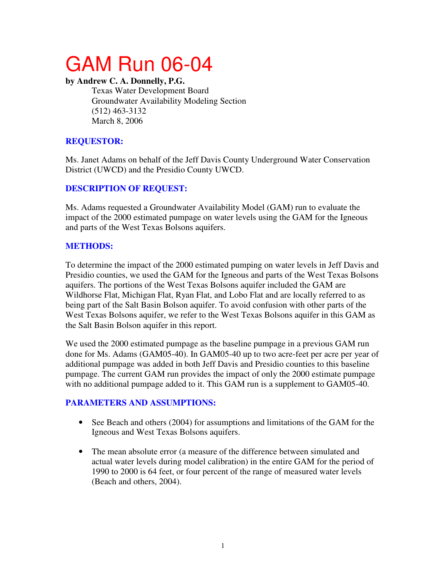# GAM Run 06-04

#### **by Andrew C. A. Donnelly, P.G.**

Texas Water Development Board Groundwater Availability Modeling Section (512) 463-3132 March 8, 2006

# **REQUESTOR:**

Ms. Janet Adams on behalf of the Jeff Davis County Underground Water Conservation District (UWCD) and the Presidio County UWCD.

# **DESCRIPTION OF REQUEST:**

Ms. Adams requested a Groundwater Availability Model (GAM) run to evaluate the impact of the 2000 estimated pumpage on water levels using the GAM for the Igneous and parts of the West Texas Bolsons aquifers.

## **METHODS:**

To determine the impact of the 2000 estimated pumping on water levels in Jeff Davis and Presidio counties, we used the GAM for the Igneous and parts of the West Texas Bolsons aquifers. The portions of the West Texas Bolsons aquifer included the GAM are Wildhorse Flat, Michigan Flat, Ryan Flat, and Lobo Flat and are locally referred to as being part of the Salt Basin Bolson aquifer. To avoid confusion with other parts of the West Texas Bolsons aquifer, we refer to the West Texas Bolsons aquifer in this GAM as the Salt Basin Bolson aquifer in this report.

We used the 2000 estimated pumpage as the baseline pumpage in a previous GAM run done for Ms. Adams (GAM05-40). In GAM05-40 up to two acre-feet per acre per year of additional pumpage was added in both Jeff Davis and Presidio counties to this baseline pumpage. The current GAM run provides the impact of only the 2000 estimate pumpage with no additional pumpage added to it. This GAM run is a supplement to GAM05-40.

# **PARAMETERS AND ASSUMPTIONS:**

- See Beach and others (2004) for assumptions and limitations of the GAM for the Igneous and West Texas Bolsons aquifers.
- The mean absolute error (a measure of the difference between simulated and actual water levels during model calibration) in the entire GAM for the period of 1990 to 2000 is 64 feet, or four percent of the range of measured water levels (Beach and others, 2004).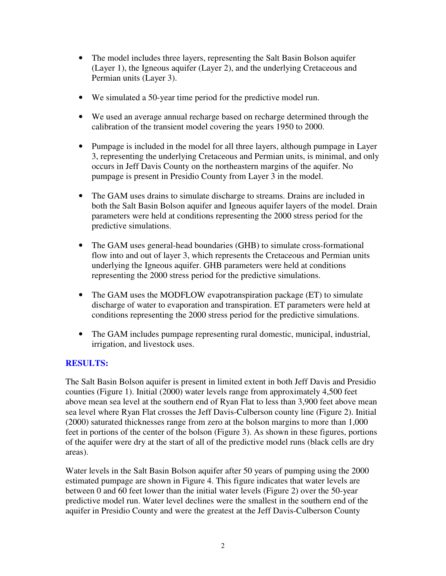- The model includes three layers, representing the Salt Basin Bolson aquifer (Layer 1), the Igneous aquifer (Layer 2), and the underlying Cretaceous and Permian units (Layer 3).
- We simulated a 50-year time period for the predictive model run.
- We used an average annual recharge based on recharge determined through the calibration of the transient model covering the years 1950 to 2000.
- Pumpage is included in the model for all three layers, although pumpage in Layer 3, representing the underlying Cretaceous and Permian units, is minimal, and only occurs in Jeff Davis County on the northeastern margins of the aquifer. No pumpage is present in Presidio County from Layer 3 in the model.
- The GAM uses drains to simulate discharge to streams. Drains are included in both the Salt Basin Bolson aquifer and Igneous aquifer layers of the model. Drain parameters were held at conditions representing the 2000 stress period for the predictive simulations.
- The GAM uses general-head boundaries (GHB) to simulate cross-formational flow into and out of layer 3, which represents the Cretaceous and Permian units underlying the Igneous aquifer. GHB parameters were held at conditions representing the 2000 stress period for the predictive simulations.
- The GAM uses the MODFLOW evapotranspiration package (ET) to simulate discharge of water to evaporation and transpiration. ET parameters were held at conditions representing the 2000 stress period for the predictive simulations.
- The GAM includes pumpage representing rural domestic, municipal, industrial, irrigation, and livestock uses.

#### **RESULTS:**

The Salt Basin Bolson aquifer is present in limited extent in both Jeff Davis and Presidio counties (Figure 1). Initial (2000) water levels range from approximately 4,500 feet above mean sea level at the southern end of Ryan Flat to less than 3,900 feet above mean sea level where Ryan Flat crosses the Jeff Davis-Culberson county line (Figure 2). Initial (2000) saturated thicknesses range from zero at the bolson margins to more than 1,000 feet in portions of the center of the bolson (Figure 3). As shown in these figures, portions of the aquifer were dry at the start of all of the predictive model runs (black cells are dry areas).

Water levels in the Salt Basin Bolson aquifer after 50 years of pumping using the 2000 estimated pumpage are shown in Figure 4. This figure indicates that water levels are between 0 and 60 feet lower than the initial water levels (Figure 2) over the 50-year predictive model run. Water level declines were the smallest in the southern end of the aquifer in Presidio County and were the greatest at the Jeff Davis-Culberson County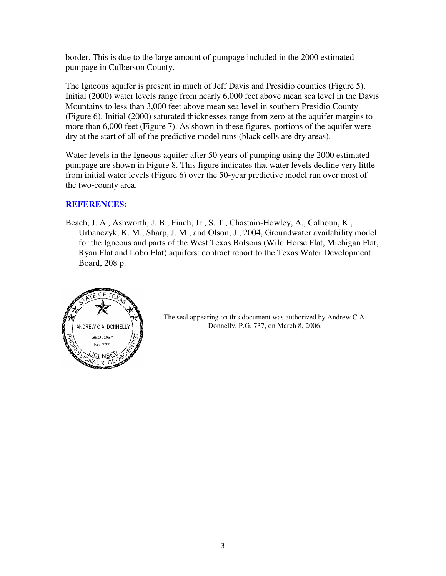border. This is due to the large amount of pumpage included in the 2000 estimated pumpage in Culberson County.

The Igneous aquifer is present in much of Jeff Davis and Presidio counties (Figure 5). Initial (2000) water levels range from nearly 6,000 feet above mean sea level in the Davis Mountains to less than 3,000 feet above mean sea level in southern Presidio County (Figure 6). Initial (2000) saturated thicknesses range from zero at the aquifer margins to more than 6,000 feet (Figure 7). As shown in these figures, portions of the aquifer were dry at the start of all of the predictive model runs (black cells are dry areas).

Water levels in the Igneous aquifer after 50 years of pumping using the 2000 estimated pumpage are shown in Figure 8. This figure indicates that water levels decline very little from initial water levels (Figure 6) over the 50-year predictive model run over most of the two-county area.

## **REFERENCES:**

Beach, J. A., Ashworth, J. B., Finch, Jr., S. T., Chastain-Howley, A., Calhoun, K., Urbanczyk, K. M., Sharp, J. M., and Olson, J., 2004, Groundwater availability model for the Igneous and parts of the West Texas Bolsons (Wild Horse Flat, Michigan Flat, Ryan Flat and Lobo Flat) aquifers: contract report to the Texas Water Development Board, 208 p.



The seal appearing on this document was authorized by Andrew C.A. Donnelly, P.G. 737, on March 8, 2006.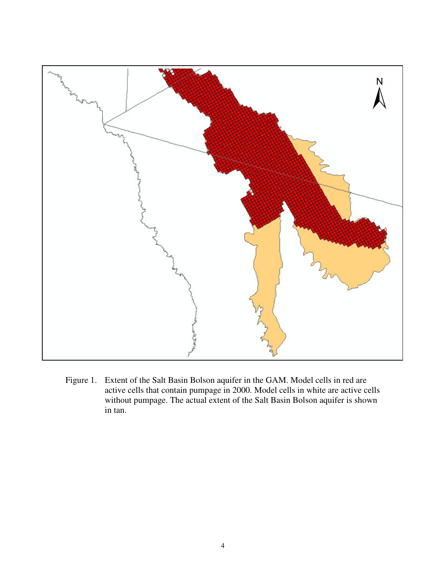

Figure 1. Extent of the Salt Basin Bolson aquifer in the GAM. Model cells in red are active cells that contain pumpage in 2000. Model cells in white are active cells without pumpage. The actual extent of the Salt Basin Bolson aquifer is shown in tan.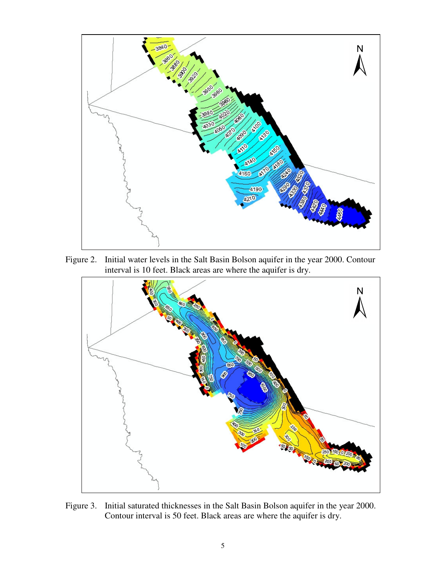

Figure 2. Initial water levels in the Salt Basin Bolson aquifer in the year 2000. Contour interval is 10 feet. Black areas are where the aquifer is dry.



Figure 3. Initial saturated thicknesses in the Salt Basin Bolson aquifer in the year 2000. Contour interval is 50 feet. Black areas are where the aquifer is dry.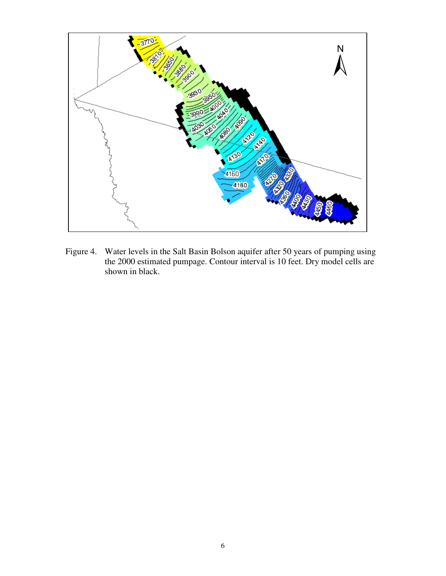

Figure 4. Water levels in the Salt Basin Bolson aquifer after 50 years of pumping using the 2000 estimated pumpage. Contour interval is 10 feet. Dry model cells are shown in black.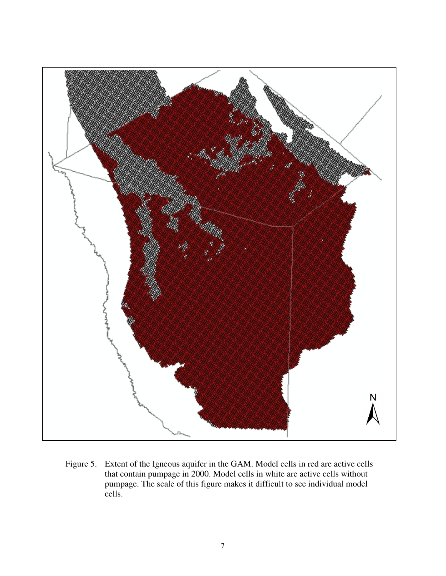

Figure 5. Extent of the Igneous aquifer in the GAM. Model cells in red are active cells that contain pumpage in 2000. Model cells in white are active cells without pumpage. The scale of this figure makes it difficult to see individual model cells.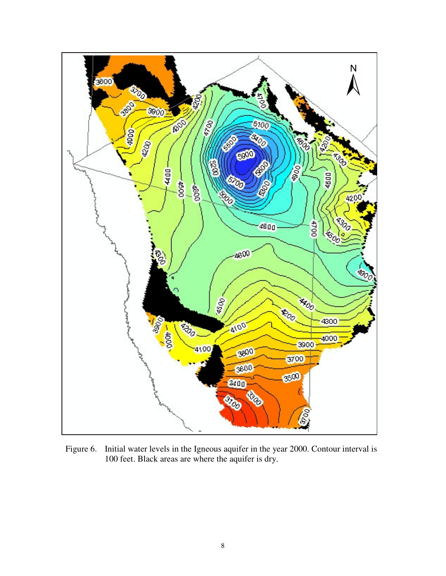

Figure 6. Initial water levels in the Igneous aquifer in the year 2000. Contour interval is 100 feet. Black areas are where the aquifer is dry.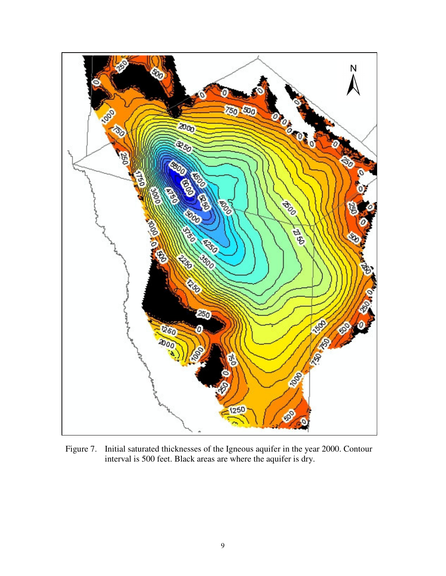

Figure 7. Initial saturated thicknesses of the Igneous aquifer in the year 2000. Contour interval is 500 feet. Black areas are where the aquifer is dry.